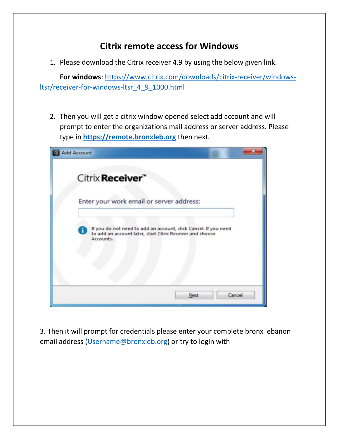## **Citrix remote access for Windows**

1. Please download the Citrix receiver 4.9 by using the below given link.

**For windows**: https://www.citrix.com/downloads/citrix-receiver/windowsltsr/receiver-for-windows-ltsr\_4\_9\_1000.html

2. Then you will get a citrix window opened select add account and will prompt to enter the organizations mail address or server address. Please type in **[https://remote.bronxleb.org](https://remote.bronxleb.org/)** then next.



3. Then it will prompt for credentials please enter your complete bronx lebanon email address [\(Username@bronxleb.org\)](mailto:Username@bronxleb.org) or try to login with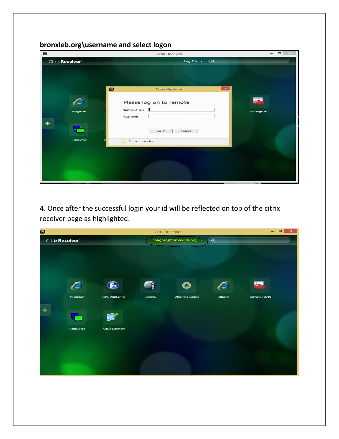## **bronxleb.org\username and select logon**

| $\overline{\mathfrak{D}}$ |                 |                           | <b>Citrix Receiver</b>  |                       | $\qquad \qquad \Box$<br>$\overline{\phantom{0}}$ |
|---------------------------|-----------------|---------------------------|-------------------------|-----------------------|--------------------------------------------------|
|                           | Citrix Receiver |                           | Log On $\rightarrow$    | $\alpha$              |                                                  |
|                           |                 | $\bullet$                 | <b>Citrix Receiver</b>  | $\boldsymbol{\times}$ |                                                  |
|                           | Imagecast       | Domain\User:<br>Password: | Please log on to remote |                       | Exchange 2010                                    |
|                           | <b>DameWare</b> | Secure connection<br>興    | Log On<br>Cancel        |                       |                                                  |
|                           |                 |                           |                         |                       |                                                  |

4. Once after the successful login your id will be reflected on top of the citrix receiver page as highlighted.

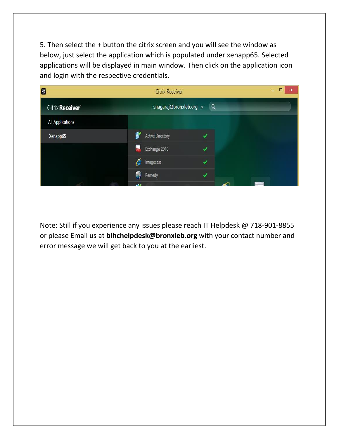5. Then select the + button the citrix screen and you will see the window as below, just select the application which is populated under xenapp65. Selected applications will be displayed in main window. Then click on the application icon and login with the respective credentials.

| D                       | <b>Citrix Receiver</b>          |          | о<br>X<br>- |
|-------------------------|---------------------------------|----------|-------------|
| Citrix Receiver         | snagaraj@bronxleb.org v         | $\alpha$ |             |
| <b>All Applications</b> |                                 |          |             |
| Xenapp65                | Ć<br><b>Active Directory</b>    |          |             |
|                         | $\blacksquare$<br>Exchange 2010 | ✓        |             |
|                         | É<br>Imagecast                  | ✓        |             |
|                         | 6<br>Remedy                     |          |             |
|                         |                                 |          |             |

Note: Still if you experience any issues please reach IT Helpdesk @ 718-901-8855 or please Email us at **blhchelpdesk@bronxleb.org** with your contact number and error message we will get back to you at the earliest.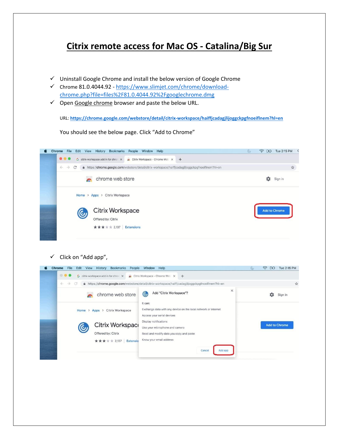## **Citrix remote access for Mac OS - Catalina/Big Sur**

- $\checkmark$  Uninstall Google Chrome and install the below version of Google Chrome
- Chrome 81.0.4044.92 [https://www.slimjet.com/chrome/download](https://www.slimjet.com/chrome/download-chrome.php?file=files%2F81.0.4044.92%2Fgooglechrome.dmg)[chrome.php?file=files%2F81.0.4044.92%2Fgooglechrome.dmg](https://www.slimjet.com/chrome/download-chrome.php?file=files%2F81.0.4044.92%2Fgooglechrome.dmg)
- $\checkmark$  Open Google chrome browser and paste the below URL.

You should see the below page. Click "Add to Chrome"

URL: **<https://chrome.google.com/webstore/detail/citrix-workspace/haiffjcadagjlijoggckpgfnoeiflnem?hl=en>**

Chrome File Edit View History Bookmarks People Window Help



 $\checkmark$  Click on "Add app",

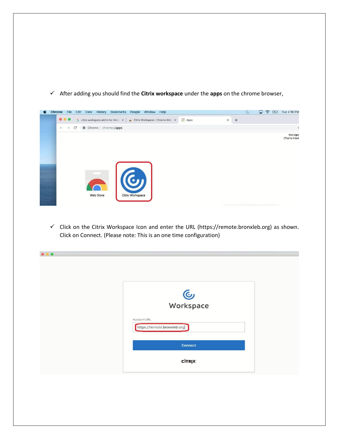

After adding you should find the **Citrix workspace** under the **apps** on the chrome browser,

 $\checkmark$  Click on the Citrix Workspace Icon and enter the URL (https://remote.bronxleb.org) as shown. Click on Connect. (Please note: This is an one time configuration)

| <b>C</b><br>Workspace                      |  |
|--------------------------------------------|--|
| Account URL<br>https://remote.bronxleb.org |  |
| <b>Connect</b>                             |  |
| <b>CİTRIX</b>                              |  |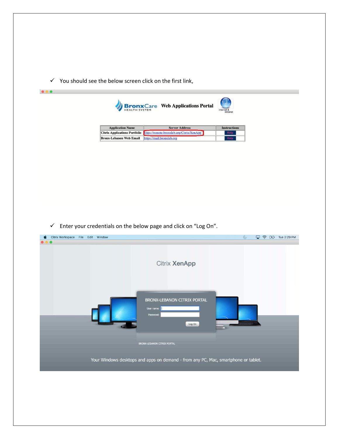